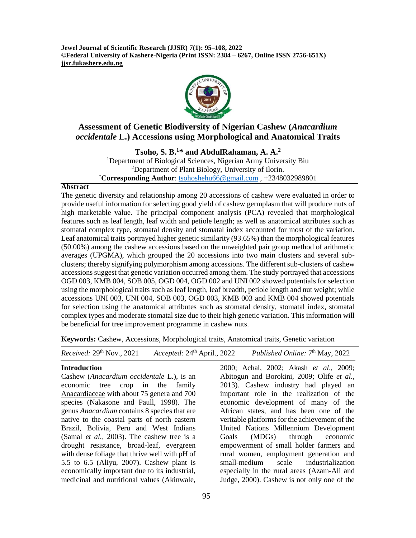**Jewel Journal of Scientific Research (JJSR) 7(1): 95–108, 2022 ©Federal University of Kashere-Nigeria (Print ISSN: 2384 – 6267, Online ISSN 2756-651X) jjsr.fukashere.edu.ng**



# **Assessment of Genetic Biodiversity of Nigerian Cashew (***Anacardium occidentale* **L.) Accessions using Morphological and Anatomical Traits**

**Tsoho, S. B.<sup>1</sup>\* and AbdulRahaman, A. A.<sup>2</sup>**

<sup>1</sup>Department of Biological Sciences, Nigerian Army University Biu <sup>2</sup>Department of Plant Biology, University of Ilorin. \***Corresponding Author**: [tsohoshehu66@gmail.com](mailto:tsohoshehu66@gmail.com) , +2348032989801

### **Abstract**

The genetic diversity and relationship among 20 accessions of cashew were evaluated in order to provide useful information for selecting good yield of cashew germplasm that will produce nuts of high marketable value. The principal component analysis (PCA) revealed that morphological features such as leaf length, leaf width and petiole length; as well as anatomical attributes such as stomatal complex type, stomatal density and stomatal index accounted for most of the variation. Leaf anatomical traits portrayed higher genetic similarity (93.65%) than the morphological features (50.00%) among the cashew accessions based on the unweighted pair group method of arithmetic averages (UPGMA), which grouped the 20 accessions into two main clusters and several subclusters; thereby signifying polymorphism among accessions. The different sub-clusters of cashew accessions suggest that genetic variation occurred among them. The study portrayed that accessions OGD 003, KMB 004, SOB 005, OGD 004, OGD 002 and UNI 002 showed potentials for selection using the morphological traits such as leaf length, leaf breadth, petiole length and nut weight; while accessions UNI 003, UNI 004, SOB 003, OGD 003, KMB 003 and KMB 004 showed potentials for selection using the anatomical attributes such as stomatal density, stomatal index, stomatal complex types and moderate stomatal size due to their high genetic variation. This information will be beneficial for tree improvement programme in cashew nuts.

**Keywords:** Cashew, Accessions, Morphological traits, Anatomical traits, Genetic variation

|  | <i>Received:</i> $29th Nov., 2021$ | Accepted: $24th$ April., 2022 | Published Online: 7 <sup>th</sup> May, 2022 |
|--|------------------------------------|-------------------------------|---------------------------------------------|
|--|------------------------------------|-------------------------------|---------------------------------------------|

### **Introduction**

Cashew (*Anacardium occidentale* L.), is an economic tree crop in the family [Anacardiaceae](https://en.wikipedia.org/wiki/Anacardiaceae) with about 75 genera and 700 species (Nakasone and Paull, 1998). The genus *Anacardium* contains 8 species that are native to the coastal parts of north eastern Brazil, Bolivia, Peru and West Indians (Samal *et al.,* 2003). The cashew tree is a drought resistance, broad-leaf, evergreen with dense foliage that thrive well with pH of 5.5 to 6.5 (Aliyu, 2007). Cashew plant is economically important due to its industrial, medicinal and nutritional values (Akinwale,

2000; Achal, 2002; Akash *et al*., 2009; Abitogun and Borokini, 2009; Olife *et al.,* 2013). Cashew industry had played an important role in the realization of the economic development of many of the African states, and has been one of the veritable platforms for the achievement of the United Nations Millennium Development Goals (MDGs) through economic empowerment of small holder farmers and rural women, employment generation and small-medium scale industrialization especially in the rural areas (Azam-Ali and Judge, 2000). Cashew is not only one of the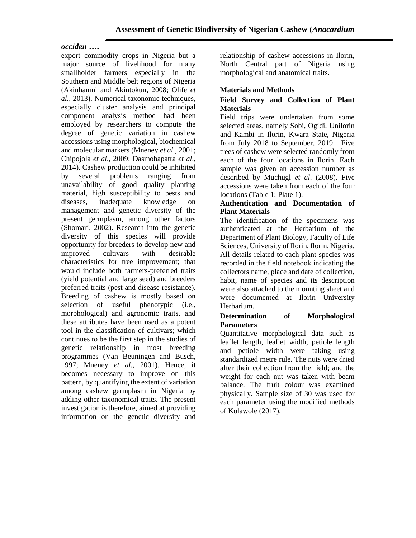# *occiden* **….**

export commodity crops in Nigeria but a major source of livelihood for many smallholder farmers especially in the Southern and Middle belt regions of Nigeria (Akinhanmi and Akintokun*,* 2008; Olife *et al.,* 2013). Numerical taxonomic techniques, especially cluster analysis and principal component analysis method had been employed by researchers to compute the degree of genetic variation in cashew accessions using morphological, biochemical and molecular markers (Mneney *et al*., 2001; Chipojola *et al*., 2009; Dasmohapatra *et al*., 2014). Cashew production could be inhibited by several problems ranging from unavailability of good quality planting material, high susceptibility to pests and diseases, inadequate knowledge on management and genetic diversity of the present germplasm, among other factors (Shomari, 2002). Research into the genetic diversity of this species will provide opportunity for breeders to develop new and improved cultivars with desirable characteristics for tree improvement; that would include both farmers-preferred traits (yield potential and large seed) and breeders preferred traits (pest and disease resistance). Breeding of cashew is mostly based on selection of useful phenotypic (i.e., morphological) and agronomic traits, and these attributes have been used as a potent tool in the classification of cultivars; which continues to be the first step in the studies of genetic relationship in most breeding programmes (Van Beuningen and Busch, 1997; Mneney *et al.*, 2001). Hence, it becomes necessary to improve on this pattern, by quantifying the extent of variation among cashew germplasm in Nigeria by adding other taxonomical traits. The present investigation is therefore, aimed at providing information on the genetic diversity and relationship of cashew accessions in Ilorin, North Central part of Nigeria using morphological and anatomical traits.

## **Materials and Methods**

### **Field Survey and Collection of Plant Materials**

Field trips were undertaken from some selected areas, namely Sobi, Ogidi, Unilorin and Kambi in Ilorin, Kwara State, Nigeria from July 2018 to September, 2019. Five trees of cashew were selected randomly from each of the four locations in Ilorin. Each sample was given an accession number as described by Muchugl *et al*. (2008). Five accessions were taken from each of the four locations (Table 1; Plate 1).

# **Authentication and Documentation of Plant Materials**

The identification of the specimens was authenticated at the Herbarium of the Department of Plant Biology, Faculty of Life Sciences, University of Ilorin, Ilorin, Nigeria. All details related to each plant species was recorded in the field notebook indicating the collectors name, place and date of collection, habit, name of species and its description were also attached to the mounting sheet and were documented at Ilorin University Herbarium.

## **Determination of Morphological Parameters**

Quantitative morphological data such as leaflet length, leaflet width, petiole length and petiole width were taking using standardized metre rule. The nuts were dried after their collection from the field; and the weight for each nut was taken with beam balance. The fruit colour was examined physically. Sample size of 30 was used for each parameter using the modified methods of Kolawole (2017).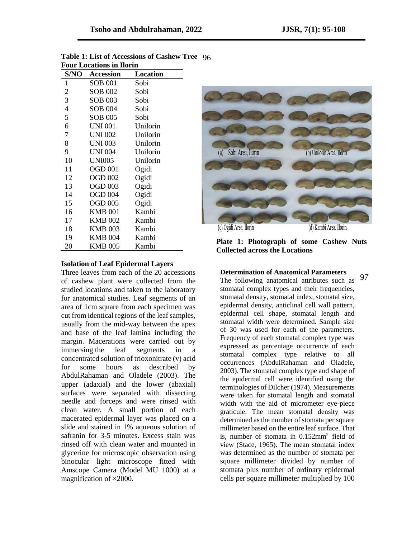| FOUT LOCAUOIIS III HOFIII |                  |          |  |  |  |
|---------------------------|------------------|----------|--|--|--|
| S/NO                      | <b>Accession</b> | Location |  |  |  |
| 1                         | SOB 001          | Sobi     |  |  |  |
| 2                         | SOB 002          | Sobi     |  |  |  |
| 3                         | SOB 003          | Sobi     |  |  |  |
| $\overline{4}$            | SOB 004          | Sobi     |  |  |  |
| 5                         | SOB 005          | Sobi     |  |  |  |
| 6                         | <b>UNI 001</b>   | Unilorin |  |  |  |
| 7                         | UNI 002          | Unilorin |  |  |  |
| 8                         | UNI 003          | Unilorin |  |  |  |
| 9                         | UNI 004          | Unilorin |  |  |  |
| 10                        | <b>UNI005</b>    | Unilorin |  |  |  |
| 11                        | <b>OGD 001</b>   | Ogidi    |  |  |  |
| 12                        | <b>OGD 002</b>   | Ogidi    |  |  |  |
| 13                        | OGD 003          | Ogidi    |  |  |  |
| 14                        | <b>OGD 004</b>   | Ogidi    |  |  |  |
| 15                        | OGD 005          | Ogidi    |  |  |  |
| 16                        | <b>KMB 001</b>   | Kambi    |  |  |  |
| 17                        | KMB 002          | Kambi    |  |  |  |
| 18                        | <b>KMB 003</b>   | Kambi    |  |  |  |
| 19                        | KMB 004          | Kambi    |  |  |  |
| 20                        | KMB 005          | Kambi    |  |  |  |

| Table 1: List of Accessions of Cashew Tree 96 |  |
|-----------------------------------------------|--|
| <b>Four Locations in Ilorin</b>               |  |

#### **Isolation of Leaf Epidermal Layers**

Three leaves from each of the 20 accessions of cashew plant were collected from the studied locations and taken to the laboratory for anatomical studies. Leaf segments of an area of 1cm square from each specimen was cut from identical regions of the leaf samples, usually from the mid-way between the apex and base of the leaf lamina including the margin. Macerations were carried out by immersing the leaf segments in a concentrated solution of trioxonitrate (v) acid for some hours as described by AbdulRahaman and Oladele (2003). The upper (adaxial) and the lower (abaxial) surfaces were separated with dissecting needle and forceps and were rinsed with clean water. A small portion of each macerated epidermal layer was placed on a slide and stained in 1% aqueous solution of safranin for 3-5 minutes. Excess stain was rinsed off with clean water and mounted in glycerine for microscopic observation using binocular light microscope fitted with Amscope Camera (Model MU 1000) at a magnification of ×2000.



**Plate 1: Photograph of some Cashew Nuts Collected across the Locations**

#### **Determination of Anatomical Parameters**

The following anatomical attributes such as stomatal complex types and their frequencies, stomatal density, stomatal index, stomatal size, epidermal density, anticlinal cell wall pattern, epidermal cell shape, stomatal length and stomatal width were determined. Sample size of 30 was used for each of the parameters. Frequency of each stomatal complex type was expressed as percentage occurrence of each stomatal complex type relative to all occurrences (AbdulRahaman and Oladele, 2003). The stomatal complex type and shape of the epidermal cell were identified using the terminologies of Dilcher (1974). Measurements were taken for stomatal length and stomatal width with the aid of micrometer eye-piece graticule. The mean stomatal density was determined as the number of stomata per square millimeter based on the entire leaf surface. That is, number of stomata in 0.152mm<sup>2</sup> field of view (Stace, 1965). The mean stomatal index was determined as the number of stomata per square millimeter divided by number of stomata plus number of ordinary epidermal cells per square millimeter multiplied by 100 97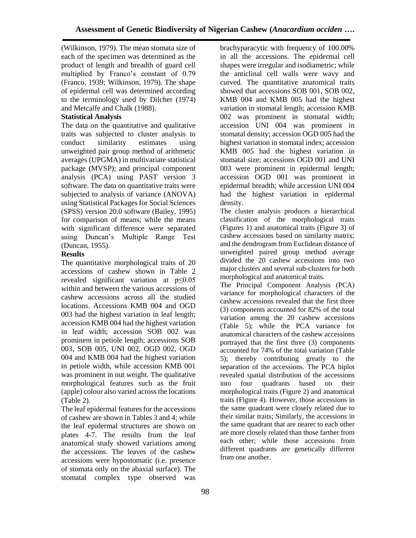(Wilkinson, 1979). The mean stomata size of each of the specimen was determined as the product of length and breadth of guard cell multiplied by Franco's constant of 0.79 (Franco, 1939; Wilkinson, 1979). The shape of epidermal cell was determined according to the terminology used by Dilcher (1974) and Metcalfe and Chalk (1988).

# **Statistical Analysis**

The data on the quantitative and qualitative traits was subjected to cluster analysis to conduct similarity estimates using unweighted pair group method of arithmetic averages (UPGMA) in multivariate statistical package (MVSP); and principal component analysis (PCA) using PAST version 3 software. The data on quantitative traits were subjected to analysis of variance (ANOVA) using Statistical Packages for Social Sciences (SPSS) version 20.0 software (Bailey, 1995) for comparison of means; while the means with significant difference were separated using Duncan's Multiple Range Test (Duncan, 1955).

## **Results**

The quantitative morphological traits of 20 accessions of cashew shown in Table 2 revealed significant variation at p≤0.05 within and between the various accessions of cashew accessions across all the studied locations. Accessions KMB 004 and OGD 003 had the highest variation in leaf length; accession KMB 004 had the highest variation in leaf width; accession SOB 002 was prominent in petiole length; accessions SOB 003, SOB 005, UNI 002, OGD 002, OGD 004 and KMB 004 had the highest variation in petiole width, while accession KMB 001 was prominent in nut weight. The qualitative morphological features such as the fruit (apple) colour also varied across the locations (Table 2).

The leaf epidermal features for the accessions of cashew are shown in Tables 3 and 4; while the leaf epidermal structures are shown on plates 4-7. The results from the leaf anatomical study showed variations among the accessions. The leaves of the cashew accessions were hypostomatic (i.e. presence of stomata only on the abaxial surface). The stomatal complex type observed was

brachyparacytic with frequency of 100.00% in all the accessions. The epidermal cell shapes were irregular and isodiametric; while the anticlinal cell walls were wavy and curved. The quantitative anatomical traits showed that accessions SOB 001, SOB 002, KMB 004 and KMB 005 had the highest variation in stomatal length; accession KMB 002 was prominent in stomatal width; accession UNI 004 was prominent in stomatal density; accession OGD 005 had the highest variation in stomatal index; accession KMB 005 had the highest variation in stomatal size; accessions OGD 001 and UNI 003 were prominent in epidermal length; accession OGD 001 was prominent in epidermal breadth; while accession UNI 004 had the highest variation in epidermal density.

The cluster analysis produces a hierarchical classification of the morphological traits (Figures 1) and anatomical traits (Figure 3) of cashew accessions based on similarity matrix; and the dendrogram from Euclidean distance of unweighted paired group method average divided the 20 cashew accessions into two major clusters and several sub-clusters for both morphological and anatomical traits.

The Principal Component Analysis (PCA) variance for morphological characters of the cashew accessions revealed that the first three (3) components accounted for 82% of the total variation among the 20 cashew accessions (Table 5); while the PCA variance for anatomical characters of the cashew accessions portrayed that the first three (3) components accounted for 74% of the total variation (Table 5); thereby contributing greatly to the separation of the accessions. The PCA biplot revealed spatial distribution of the accessions into four quadrants based on their morphological traits (Figure 2) and anatomical traits (Figure 4). However, those accessions in the same quadrant were closely related due to their similar traits; Similarly, the accessions in the same quadrant that are nearer to each other are more closely related than those farther from each other; while those accessions from different quadrants are genetically different from one another.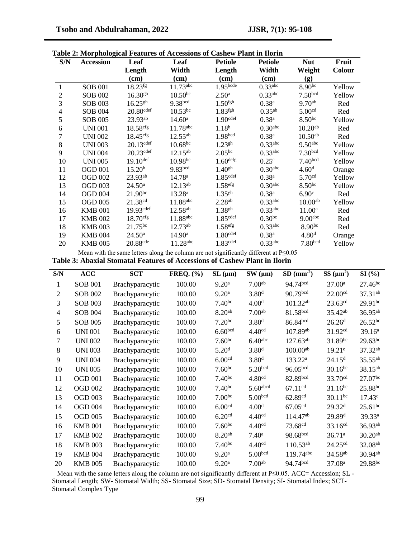| S/N                      | <b>Accession</b> | Leaf                    | Leaf                   | <b>Petiole</b>       | <b>Petiole</b>        | <b>Nut</b>            | Fruit  |
|--------------------------|------------------|-------------------------|------------------------|----------------------|-----------------------|-----------------------|--------|
|                          |                  | Length                  | Width                  | Length               | Width                 | Weight                | Colour |
|                          |                  | $(cm)$                  | $(cm)$                 | $(cm)$               | $(cm)$                | (g)                   |        |
| $\mathbf{1}$             | <b>SOB 001</b>   | $18.23$ fg              | $11.73$ <sup>abc</sup> | 1.95 <sub>bcde</sub> | $0.33$ abc            | 8.90 <sup>bc</sup>    | Yellow |
| $\overline{c}$           | <b>SOB 002</b>   | 16.30 <sup>gh</sup>     | $10.50^{bc}$           | 2.50 <sup>a</sup>    | $0.33$ <sup>abc</sup> | 7.50 <sub>bcd</sub>   | Yellow |
| 3                        | <b>SOB 003</b>   | $16.25^{gh}$            | 9.38bcd                | 1.50 <sup>fgh</sup>  | $0.38^{a}$            | $9.70^{ab}$           | Red    |
| $\overline{\mathcal{L}}$ | <b>SOB 004</b>   | $20.80$ <sup>cdef</sup> | $10.53^{bc}$           | 1.83 <sup>fgh</sup>  | $0.35^{ab}$           | 5.00 <sup>cd</sup>    | Red    |
| 5                        | <b>SOB 005</b>   | 23.93ab                 | $14.60^{\rm a}$        | 1.90 <sup>cdef</sup> | $0.38^{a}$            | 8.50 <sup>bc</sup>    | Yellow |
| 6                        | <b>UNI 001</b>   | 18.58 <sup>efg</sup>    | $11.78$ <sup>abc</sup> | 1.18 <sup>h</sup>    | 0.30 <sup>abc</sup>   | $10.20^{ab}$          | Red    |
| 7                        | <b>UNI 002</b>   | 18.45 <sup>efg</sup>    | $12.55^{ab}$           | 1.98 <sup>bcd</sup>  | $0.38^{a}$            | $10.50^{ab}$          | Red    |
| 8                        | <b>UNI 003</b>   | $20.13$ def             | $10.68^{bc}$           | $1.23^{gh}$          | $0.33$ abc            | $9.50$ <sup>abc</sup> | Yellow |
| 9                        | <b>UNI 004</b>   | $20.23$ def             | $12.15^{ab}$           | $2.05^{bc}$          | $0.33$ <sup>abc</sup> | 7.30 <sub>bcd</sub>   | Yellow |
| 10                       | <b>UNI 005</b>   | $19.10$ def             | $10.98^{bc}$           | 1.60 <sup>defg</sup> | 0.25 <sup>c</sup>     | 7.40 <sub>bcd</sub>   | Yellow |
| 11                       | <b>OGD 001</b>   | 15.20 <sup>h</sup>      | 9.83 <sup>bcd</sup>    | $1.40^{gh}$          | 0.30 <sup>abc</sup>   | 4.60 <sup>d</sup>     | Orange |
| 12                       | <b>OGD 002</b>   | $23.93^{ab}$            | 14.78 <sup>a</sup>     | 1.85 <sup>cdef</sup> | $0.38^{a}$            | 5.70 <sup>cd</sup>    | Yellow |
| 13                       | <b>OGD 003</b>   | $24.50^{\circ}$         | $12.13^{ab}$           | 1.58 <sup>efg</sup>  | 0.30 <sup>abc</sup>   | 8.50 <sup>bc</sup>    | Yellow |
| 14                       | <b>OGD 004</b>   | $21.90^{bc}$            | 13.28 <sup>a</sup>     | $1.35^{gh}$          | 0.38 <sup>a</sup>     | 6.90 <sup>c</sup>     | Red    |
| 15                       | <b>OGD 005</b>   | 21.38 <sup>cd</sup>     | 11.88abc               | 2.28 <sup>ab</sup>   | $0.33$ <sup>abc</sup> | 10.00 <sup>ab</sup>   | Yellow |
| 16                       | <b>KMB 001</b>   | 19.93 <sup>cdef</sup>   | $12.58^{ab}$           | $1.38^{gh}$          | $0.33$ <sup>abc</sup> | $11.00^a$             | Red    |
| 17                       | <b>KMB 002</b>   | 18.70 <sup>efg</sup>    | 11.88abc               | 1.85 <sup>cdef</sup> | $0.30^{bc}$           | 9.00 <sup>abc</sup>   | Red    |
| 18                       | <b>KMB 003</b>   | $21.75^{bc}$            | $12.73^{ab}$           | 1.58 <sup>efg</sup>  | $0.33$ <sup>abc</sup> | 8.90 <sup>bc</sup>    | Red    |
| 19                       | <b>KMB 004</b>   | 24.50 <sup>a</sup>      | 14.90 <sup>a</sup>     | 1.80 <sup>cdef</sup> | $0.38^{a}$            | 4.80 <sup>d</sup>     | Orange |
| 20                       | <b>KMB 005</b>   | 20.88 <sup>cde</sup>    | 11.28abc               | 1.83 <sup>cdef</sup> | $0.33$ abc            | 7.80 <sub>bcd</sub>   | Yellow |

Mean with the same letters along the column are not significantly different at P≤0.05

**Table 3: Abaxial Stomatal Features of Accessions of Cashew Plant in Ilorin**

| S/N            | <b>ACC</b>     | <b>SCT</b>      | <b>FREQ.</b> (%) | $SL ( \mu m )$      | $SW$ ( $\mu$ m)     | $SD (mm-2)$          | $SS \, (\mu m^2)$   | SI(%)               |
|----------------|----------------|-----------------|------------------|---------------------|---------------------|----------------------|---------------------|---------------------|
| 1              | <b>SOB 001</b> | Brachyparacytic | 100.00           | 9.20 <sup>a</sup>   | 7.00 <sup>ab</sup>  | 94.74bcd             | 37.00 <sup>a</sup>  | $27.46^{bc}$        |
| 2              | <b>SOB 002</b> | Brachyparacytic | 100.00           | 9.20 <sup>a</sup>   | 3.80 <sup>d</sup>   | 90.79bcd             | 22.00 <sup>cd</sup> | 37.31 <sup>ab</sup> |
| 3              | <b>SOB 003</b> | Brachyparacytic | 100.00           | 7.40 <sup>bc</sup>  | 4.00 <sup>d</sup>   | $101.32^{ab}$        | 23.63cd             | $29.91^{bc}$        |
| $\overline{4}$ | <b>SOB 004</b> | Brachyparacytic | 100.00           | 8.20 <sup>ab</sup>  | 7.00 <sup>ab</sup>  | 81.58bcd             | 35.42 <sup>ab</sup> | $36.95^{ab}$        |
| 5              | <b>SOB 005</b> | Brachyparacytic | 100.00           | $7.20^{bc}$         | 3.80 <sup>d</sup>   | 86.84bcd             | 26.26 <sup>d</sup>  | $26.52^{bc}$        |
| 6              | <b>UNI 001</b> | Brachyparacytic | 100.00           | 6.60 <sub>bcd</sub> | 4.40 <sup>cd</sup>  | $107.89^{ab}$        | 31.92cd             | 39.16 <sup>a</sup>  |
| 7              | <b>UNI 002</b> | Brachyparacytic | 100.00           | 7.60 <sup>bc</sup>  | 6.40 <sup>abc</sup> | $127.63^{ab}$        | 31.89bc             | $29.63^{bc}$        |
| 8              | <b>UNI 003</b> | Brachyparacytic | 100.00           | 5.20 <sup>d</sup>   | 3.80 <sup>d</sup>   | $100.00^{ab}$        | $19.21^e$           | $37.32^{ab}$        |
| 9              | <b>UNI 004</b> | Brachyparacytic | 100.00           | 6.00 <sup>cd</sup>  | 3.80 <sup>d</sup>   | 133.22 <sup>a</sup>  | 24.15 <sup>d</sup>  | $35.55^{ab}$        |
| 10             | <b>UNI 005</b> | Brachyparacytic | 100.00           | 7.60 <sup>bc</sup>  | 5.20 <sup>bcd</sup> | 96.05 <sup>bcd</sup> | $30.16^{bc}$        | 38.15ab             |
| 11             | <b>OGD 001</b> | Brachyparacytic | 100.00           | 7.40 <sup>bc</sup>  | 4.80 <sup>cd</sup>  | 82.89bcd             | 33.70 <sup>cd</sup> | $27.07^{bc}$        |
| 12             | <b>OGD 002</b> | Brachyparacytic | 100.00           | 7.40 <sup>bc</sup>  | $5.60$ abcd         | 67.11 <sup>cd</sup>  | $31.16^{bc}$        | 25.88bc             |
| 13             | <b>OGD 003</b> | Brachyparacytic | 100.00           | 7.00 <sup>bc</sup>  | 5.00 <sub>bcd</sub> | 62.89 <sup>cd</sup>  | $30.11^{bc}$        | $17.43^c$           |
| 14             | <b>OGD 004</b> | Brachyparacytic | 100.00           | 6.00 <sup>cd</sup>  | 4.00 <sup>d</sup>   | 67.05 <sup>cd</sup>  | 29.32 <sup>d</sup>  | $25.61^{bc}$        |
| 15             | <b>OGD 005</b> | Brachyparacytic | 100.00           | 6.20 <sup>cd</sup>  | 4.40 <sup>cd</sup>  | 114.47 <sup>ab</sup> | 29.89 <sup>d</sup>  | 39.33 <sup>a</sup>  |
| 16             | <b>KMB 001</b> | Brachyparacytic | 100.00           | 7.60 <sup>bc</sup>  | 4.40 <sup>cd</sup>  | 73.68 <sup>cd</sup>  | $33.16^{cd}$        | 36.93ab             |
| 17             | <b>KMB 002</b> | Brachyparacytic | 100.00           | 8.20 <sup>ab</sup>  | $7.40^{\rm a}$      | 98.68bcd             | 36.71 <sup>a</sup>  | $30.20^{ab}$        |
| 18             | <b>KMB 003</b> | Brachyparacytic | 100.00           | 7.40 <sup>bc</sup>  | 4.40 <sup>cd</sup>  | $110.53^{ab}$        | 24.25 <sup>cd</sup> | 32.08 <sup>ab</sup> |
| 19             | <b>KMB 004</b> | Brachyparacytic | 100.00           | 9.20 <sup>a</sup>   | 5.00 <sub>bcd</sub> | 119.74abc            | 34.58 <sup>ab</sup> | $30.94^{ab}$        |
| 20             | <b>KMB 005</b> | Brachyparacytic | 100.00           | 9.20 <sup>a</sup>   | 7.00 <sup>ab</sup>  | 94.74bcd             | 37.08 <sup>a</sup>  | 29.88bc             |

Mean with the same letters along the column are not significantly different at P≤0.05. ACC= Accession; SL -Stomatal Length; SW- Stomatal Width; SS- Stomatal Size; SD- Stomatal Density; SI- Stomatal Index; SCT-Stomatal Complex Type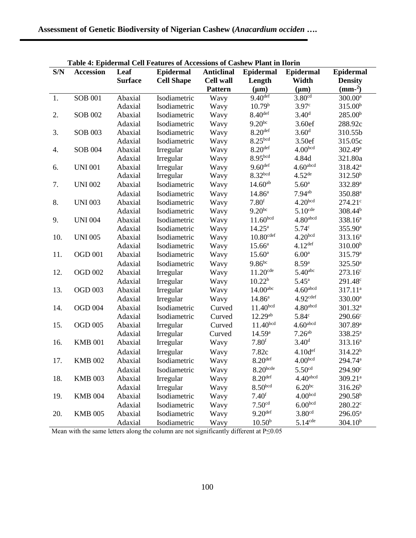| Table 4: Epidermal Cell Features of Accessions of Cashew Plant in Ilorin |                  |                |                           |                   |                        |                       |                     |
|--------------------------------------------------------------------------|------------------|----------------|---------------------------|-------------------|------------------------|-----------------------|---------------------|
| S/N                                                                      | <b>Accession</b> | Leaf           | <b>Epidermal</b>          | <b>Anticlinal</b> | <b>Epidermal</b>       | <b>Epidermal</b>      | <b>Epidermal</b>    |
|                                                                          |                  | <b>Surface</b> | <b>Cell Shape</b>         | <b>Cell wall</b>  | Length                 | Width                 | <b>Density</b>      |
|                                                                          |                  |                |                           | <b>Pattern</b>    | $(\mu m)$              | $(\mu m)$             | $(mm-2)$            |
| 1.                                                                       | <b>SOB 001</b>   | Abaxial        | Isodiametric              | Wavy              | 9.40 <sup>def</sup>    | 3.80 <sup>cd</sup>    | 300.00 <sup>a</sup> |
|                                                                          |                  | Adaxial        | Isodiametric              | Wavy              | 10.79 <sup>b</sup>     | 3.97 <sup>c</sup>     | 315.00 <sup>b</sup> |
| 2.                                                                       | <b>SOB 002</b>   | Abaxial        | Isodiametric              | Wavy              | 8.40 <sup>def</sup>    | 3.40 <sup>d</sup>     | 285.00 <sup>b</sup> |
|                                                                          |                  | Adaxial        | Isodiametric              | Wavy              | $9.20^{bc}$            | 3.60ef                | 288.92c             |
| 3.                                                                       | <b>SOB 003</b>   | Abaxial        | Isodiametric              | Wavy              | 8.20 <sup>def</sup>    | 3.60 <sup>d</sup>     | 310.55b             |
|                                                                          |                  | Adaxial        | Isodiametric              | Wavy              | 8.25 <sup>bcd</sup>    | 3.50ef                | 315.05c             |
| 4.                                                                       | <b>SOB 004</b>   | Abaxial        | Irregular                 | Wavy              | $8.20$ def             | 4.00 <sub>bcd</sub>   | 302.49 <sup>a</sup> |
|                                                                          |                  | Adaxial        | Irregular                 | Wavy              | 8.95bcd                | 4.84d                 | 321.80a             |
| 6.                                                                       | <b>UNI 001</b>   | Abaxial        | Irregular                 | Wavy              | 9.60 <sup>def</sup>    | $4.60$ abcd           | 318.42 <sup>a</sup> |
|                                                                          |                  | Adaxial        | Irregular                 | Wavy              | 8.32 <sup>bcd</sup>    | $4.52$ <sup>de</sup>  | 312.50 <sup>b</sup> |
| 7.                                                                       | <b>UNI 002</b>   | Abaxial        | Isodiametric              | Wavy              | $14.60^{ab}$           | 5.60 <sup>a</sup>     | 332.89 <sup>a</sup> |
|                                                                          |                  | Adaxial        | Isodiametric              | Wavy              | 14.86 <sup>a</sup>     | $7.94$ <sup>ab</sup>  | 350.88 <sup>a</sup> |
| 8.                                                                       | <b>UNI 003</b>   | Abaxial        | Isodiametric              | Wavy              | 7.80 <sup>f</sup>      | 4.20 <sub>bcd</sub>   | 274.21 <sup>c</sup> |
|                                                                          |                  | Adaxial        | Isodiametric              | Wavy              | $9.20^{bc}$            | $5.10$ <sup>cde</sup> | $308.44^{b}$        |
| 9.                                                                       | <b>UNI 004</b>   | Abaxial        | Isodiametric              | Wavy              | 11.60 <sup>bcd</sup>   | 4.80 <sup>abcd</sup>  | 338.16 <sup>a</sup> |
|                                                                          |                  | Adaxial        | Isodiametric              | Wavy              | $14.25^{\rm a}$        | 5.74 <sup>c</sup>     | 355.90 <sup>a</sup> |
| 10.                                                                      | <b>UNI 005</b>   | Abaxial        | Isodiametric              | Wavy              | 10.80 <sup>cdef</sup>  | 4.20 <sup>bcd</sup>   | $313.16^a$          |
|                                                                          |                  | Adaxial        | Isodiametric              | Wavy              | $15.66^{\rm a}$        | 4.12 <sup>def</sup>   | 310.00 <sup>b</sup> |
| 11.                                                                      | <b>OGD 001</b>   | Abaxial        | Isodiametric              | Wavy              | $15.60^{\rm a}$        | 6.00 <sup>a</sup>     | 315.79 <sup>a</sup> |
|                                                                          |                  | Adaxial        | Isodiametric              | Wavy              | $9.86^{bc}$            | 8.59 <sup>a</sup>     | 325.50 <sup>a</sup> |
| 12.                                                                      | <b>OGD 002</b>   | Abaxial        | Irregular                 | Wavy              | $11.20$ <sup>cde</sup> | $5.40$ abc            | 273.16 <sup>c</sup> |
|                                                                          |                  | Adaxial        | Irregular                 | Wavy              | 10.22 <sup>b</sup>     | $5.45^{\rm a}$        | 291.48 <sup>c</sup> |
| 13.                                                                      | <b>OGD 003</b>   | Abaxial        | Irregular                 | Wavy              | $14.00$ <sup>abc</sup> | $4.60$ abcd           | 317.11 <sup>a</sup> |
|                                                                          |                  | Adaxial        | Irregular                 | Wavy              | $14.86^{\rm a}$        | 4.92 <sub>cdef</sub>  | 330.00 <sup>a</sup> |
| 14.                                                                      | <b>OGD 004</b>   | Abaxial        | Isodiametric              | Curved            | 11.40 <sup>bcd</sup>   | 4.80 <sup>abcd</sup>  | 301.32 <sup>a</sup> |
|                                                                          |                  | Adaxial        | Isodiametric              | Curved            | $12.29^{ab}$           | 5.84 <sup>c</sup>     | $290.66^{\circ}$    |
| 15.                                                                      | <b>OGD 005</b>   | Abaxial        | Irregular                 | Curved            | 11.40 <sup>bcd</sup>   | $4.60$ abcd           | 307.89 <sup>a</sup> |
|                                                                          |                  | Adaxial        | Irregular                 | Curved            | 14.59a                 | 7.26 <sup>ab</sup>    | 338.25 <sup>a</sup> |
| 16.                                                                      | <b>KMB 001</b>   | Abaxial        | Irregular                 | Wavy              | 7.80 <sup>f</sup>      | 3.40 <sup>d</sup>     | $313.16^a$          |
|                                                                          |                  | Adaxial        | Irregular                 | Wavy              | 7.82c                  | 4.10d <sup>ef</sup>   | 314.22 <sup>b</sup> |
| 17.                                                                      | <b>KMB 002</b>   | Abaxial        | Isodiametric              | Wavy              | $8.20$ <sup>def</sup>  | 4.00 <sup>bcd</sup>   | 294.74 <sup>a</sup> |
|                                                                          |                  | Adaxial        | Isodiametric              | Wavy              | $8.20$ bcde            | 5.50 <sup>cd</sup>    | 294.90 <sup>c</sup> |
| 18.                                                                      | <b>KMB 003</b>   | Abaxial        | Irregular                 | Wavy              | $8.20$ def             | $4.40$ abcd           | 309.21 <sup>a</sup> |
|                                                                          |                  | Adaxial        |                           |                   | 8.50 <sub>bcd</sub>    | $6.20^{bc}$           | $316.26^{b}$        |
| 19.                                                                      | <b>KMB 004</b>   | Abaxial        | Irregular<br>Isodiametric | Wavy              | 7.40 <sup>f</sup>      | 4.00 <sub>bcd</sub>   | 290.58 <sup>b</sup> |
|                                                                          |                  |                |                           | Wavy              | 7.50 <sup>cd</sup>     | 6.00 <sub>bcd</sub>   |                     |
|                                                                          |                  | Adaxial        | Isodiametric              | Wavy              |                        |                       | $280.22^{\circ}$    |
| 20.                                                                      | <b>KMB 005</b>   | Abaxial        | Isodiametric              | Wavy              | 9.20 <sup>def</sup>    | 3.80 <sup>cd</sup>    | $296.05^a$          |
|                                                                          |                  | Adaxial        | Isodiametric              | Wavy              | 10.50 <sup>b</sup>     | $5.14$ <sup>cde</sup> | 304.10 <sup>b</sup> |

**Table 4: Epidermal Cell Features of Accessions of Cashew Plant in Ilorin**

Mean with the same letters along the column are not significantly different at P≤0.05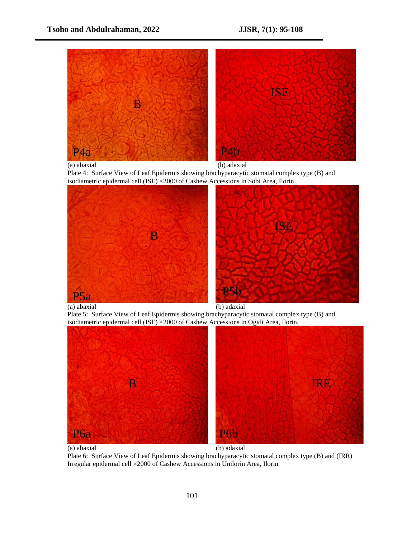

(a) abaxial (b) adaxial

Plate 4: Surface View of Leaf Epidermis showing brachyparacytic stomatal complex type (B) and isodiametric epidermal cell (ISE) ×2000 of Cashew Accessions in Sobi Area, Ilorin.





Plate 5: Surface View of Leaf Epidermis showing brachyparacytic stomatal complex type (B) and isodiametric epidermal cell (ISE) ×2000 of Cashew Accessions in Ogidi Area, Ilorin.



Plate 6: Surface View of Leaf Epidermis showing brachyparacytic stomatal complex type (B) and (IRR) Irregular epidermal cell ×2000 of Cashew Accessions in Unilorin Area, Ilorin.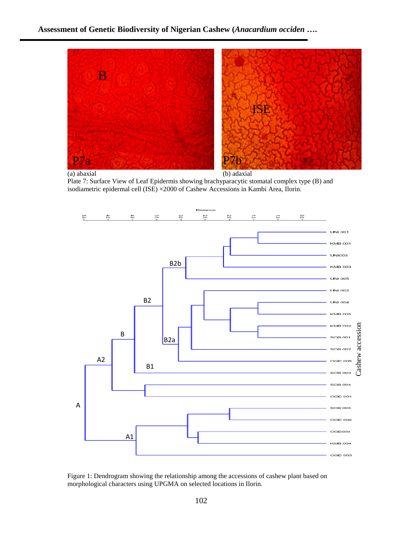

(a) abaxial (b) adaxial

Plate 7: Surface View of Leaf Epidermis showing brachyparacytic stomatal complex type (B) and isodiametric epidermal cell (ISE) ×2000 of Cashew Accessions in Kambi Area, Ilorin.



Figure 1: Dendrogram showing the relationship among the accessions of cashew plant based on morphological characters using UPGMA on selected locations in Ilorin.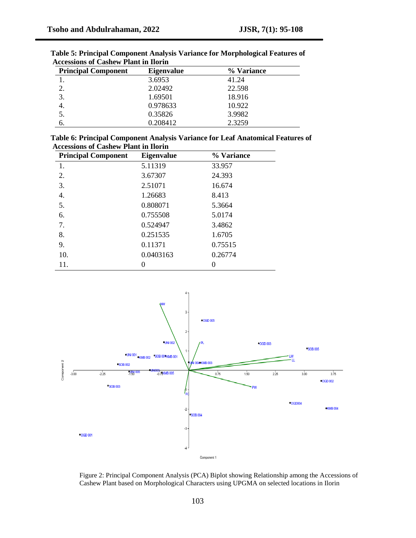| <b>Principal Component</b> | <b>Eigenvalue</b> | % Variance |
|----------------------------|-------------------|------------|
|                            | 3.6953            | 41.24      |
| 2.                         | 2.02492           | 22.598     |
| 3.                         | 1.69501           | 18.916     |
| 4.                         | 0.978633          | 10.922     |
|                            | 0.35826           | 3.9982     |
| b.                         | 0.208412          | 2.3259     |

**Table 5: Principal Component Analysis Variance for Morphological Features of Accessions of Cashew Plant in Ilorin** 

| Table 6: Principal Component Analysis Variance for Leaf Anatomical Features of |  |
|--------------------------------------------------------------------------------|--|
| <b>Accessions of Cashew Plant in Ilorin</b>                                    |  |

| <b>Principal Component</b> | <b>Eigenvalue</b> | % Variance |
|----------------------------|-------------------|------------|
| 1.                         | 5.11319           | 33.957     |
| 2.                         | 3.67307           | 24.393     |
| 3.                         | 2.51071           | 16.674     |
| 4.                         | 1.26683           | 8.413      |
| 5.                         | 0.808071          | 5.3664     |
| 6.                         | 0.755508          | 5.0174     |
| 7.                         | 0.524947          | 3.4862     |
| 8.                         | 0.251535          | 1.6705     |
| 9.                         | 0.11371           | 0.75515    |
| 10.                        | 0.0403163         | 0.26774    |
| 11.                        | $\theta$          |            |



Figure 2: Principal Component Analysis (PCA) Biplot showing Relationship among the Accessions of Cashew Plant based on Morphological Characters using UPGMA on selected locations in Ilorin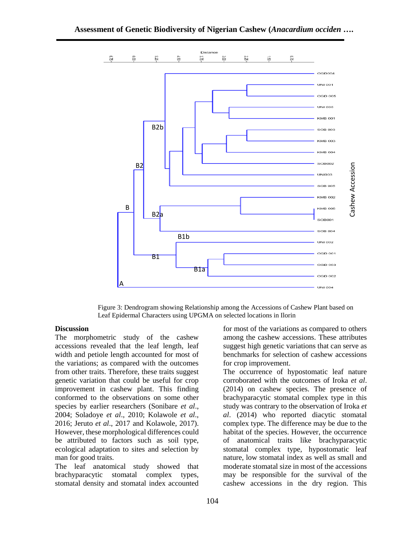

Figure 3: Dendrogram showing Relationship among the Accessions of Cashew Plant based on Leaf Epidermal Characters using UPGMA on selected locations in Ilorin

### **Discussion**

The morphometric study of the cashew accessions revealed that the leaf length, leaf width and petiole length accounted for most of the variations; as compared with the outcomes from other traits. Therefore, these traits suggest genetic variation that could be useful for crop improvement in cashew plant. This finding conformed to the observations on some other species by earlier researchers (Sonibare *et al*., 2004; Soladoye *et al*., 2010; Kolawole *et al*., 2016; Jeruto *et al*., 2017 and Kolawole, 2017). However, these morphological differences could be attributed to factors such as soil type, ecological adaptation to sites and selection by man for good traits.

The leaf anatomical study showed that brachyparacytic stomatal complex types, stomatal density and stomatal index accounted for most of the variations as compared to others among the cashew accessions. These attributes suggest high genetic variations that can serve as benchmarks for selection of cashew accessions for crop improvement.

The occurrence of hypostomatic leaf nature corroborated with the outcomes of Iroka *et al*. (2014) on cashew species. The presence of brachyparacytic stomatal complex type in this study was contrary to the observation of Iroka *et al*. (2014) who reported diacytic stomatal complex type. The difference may be due to the habitat of the species. However, the occurrence of anatomical traits like brachyparacytic stomatal complex type, hypostomatic leaf nature, low stomatal index as well as small and moderate stomatal size in most of the accessions may be responsible for the survival of the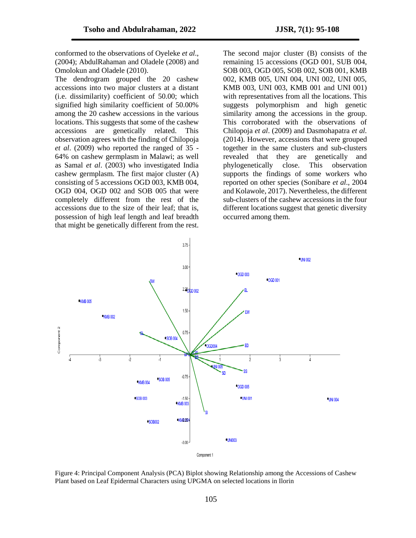conformed to the observations of Oyeleke *et al*., (2004); AbdulRahaman and Oladele (2008) and Omolokun and Oladele (2010).

The dendrogram grouped the 20 cashew accessions into two major clusters at a distant (i.e. dissimilarity) coefficient of 50.00; which signified high similarity coefficient of 50.00% among the 20 cashew accessions in the various locations. This suggests that some of the cashew accessions are genetically related. This observation agrees with the finding of Chilopoja *et al*. (2009) who reported the ranged of 35 - 64% on cashew germplasm in Malawi; as well as Samal *et al*. (2003) who investigated India cashew germplasm. The first major cluster (A) consisting of 5 accessions OGD 003, KMB 004, OGD 004, OGD 002 and SOB 005 that were completely different from the rest of the accessions due to the size of their leaf; that is, possession of high leaf length and leaf breadth that might be genetically different from the rest. The second major cluster (B) consists of the remaining 15 accessions (OGD 001, SUB 004, SOB 003, OGD 005, SOB 002, SOB 001, KMB 002, KMB 005, UNI 004, UNI 002, UNI 005, KMB 003, UNI 003, KMB 001 and UNI 001) with representatives from all the locations. This suggests polymorphism and high genetic similarity among the accessions in the group. This corroborated with the observations of Chilopoja *et al*. (2009) and Dasmohapatra *et al.* (2014). However, accessions that were grouped together in the same clusters and sub-clusters revealed that they are genetically and phylogenetically close. This observation supports the findings of some workers who reported on other species (Sonibare *et al*., 2004 and Kolawole, 2017). Nevertheless, the different sub-clusters of the cashew accessions in the four different locations suggest that genetic diversity occurred among them.



Figure 4: Principal Component Analysis (PCA) Biplot showing Relationship among the Accessions of Cashew Plant based on Leaf Epidermal Characters using UPGMA on selected locations in Ilorin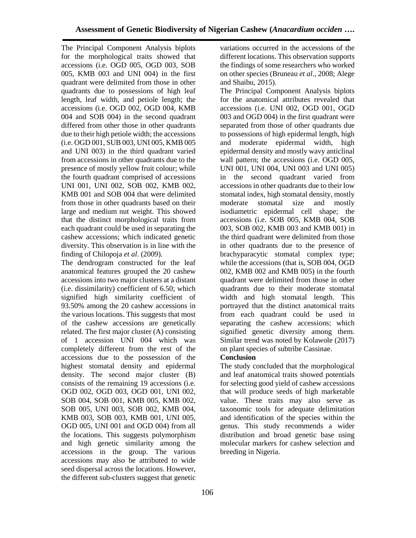The Principal Component Analysis biplots for the morphological traits showed that accessions (i.e. OGD 005, OGD 003, SOB 005, KMB 003 and UNI 004) in the first quadrant were delimited from those in other quadrants due to possessions of high leaf length, leaf width, and petiole length; the accessions (i.e. OGD 002, OGD 004, KMB 004 and SOB 004) in the second quadrant differed from other those in other quadrants due to their high petiole width; the accessions (i.e. OGD 001, SUB 003, UNI 005, KMB 005 and UNI 003) in the third quadrant varied from accessions in other quadrants due to the presence of mostly yellow fruit colour; while the fourth quadrant comprised of accessions UNI 001, UNI 002, SOB 002, KMB 002, KMB 001 and SOB 004 that were delimited from those in other quadrants based on their large and medium nut weight. This showed that the distinct morphological traits from each quadrant could be used in separating the cashew accessions; which indicated genetic diversity. This observation is in line with the finding of Chilopoja *et al*. (2009).

The dendrogram constructed for the leaf anatomical features grouped the 20 cashew accessions into two major clusters at a distant (i.e. dissimilarity) coefficient of 6.50; which signified high similarity coefficient of 93.50% among the 20 cashew accessions in the various locations. This suggests that most of the cashew accessions are genetically related. The first major cluster (A) consisting of 1 accession UNI 004 which was completely different from the rest of the accessions due to the possession of the highest stomatal density and epidermal density. The second major cluster (B) consists of the remaining 19 accessions (i.e. OGD 002, OGD 003, OGD 001, UNI 002, SOB 004, SOB 001, KMB 005, KMB 002, SOB 005, UNI 003, SOB 002, KMB 004, KMB 003, SOB 003, KMB 001, UNI 005, OGD 005, UNI 001 and OGD 004) from all the locations. This suggests polymorphism and high genetic similarity among the accessions in the group. The various accessions may also be attributed to wide seed dispersal across the locations. However, the different sub-clusters suggest that genetic

variations occurred in the accessions of the different locations. This observation supports the findings of some researchers who worked on other species (Bruneau *et al*., 2008; Alege and Shaibu, 2015).

The Principal Component Analysis biplots for the anatomical attributes revealed that accessions (i.e. UNI 002, OGD 001, OGD 003 and OGD 004) in the first quadrant were separated from those of other quadrants due to possessions of high epidermal length, high and moderate epidermal width, high epidermal density and mostly wavy anticlinal wall pattern; the accessions (i.e. OGD 005, UNI 001, UNI 004, UNI 003 and UNI 005) in the second quadrant varied from accessions in other quadrants due to their low stomatal index, high stomatal density, mostly moderate stomatal size and mostly isodiametric epidermal cell shape; the accessions (i.e. SOB 005, KMB 004, SOB 003, SOB 002, KMB 003 and KMB 001) in the third quadrant were delimited from those in other quadrants due to the presence of brachyparacytic stomatal complex type; while the accessions (that is, SOB 004, OGD 002, KMB 002 and KMB 005) in the fourth quadrant were delimited from those in other quadrants due to their moderate stomatal width and high stomatal length. This portrayed that the distinct anatomical traits from each quadrant could be used in separating the cashew accessions; which signified genetic diversity among them. Similar trend was noted by Kolawole (2017) on plant species of subtribe Cassinae.

# **Conclusion**

The study concluded that the morphological and leaf anatomical traits showed potentials for selecting good yield of cashew accessions that will produce seeds of high marketable value. These traits may also serve as taxonomic tools for adequate delimitation and identification of the species within the genus. This study recommends a wider distribution and broad genetic base using molecular markers for cashew selection and breeding in Nigeria.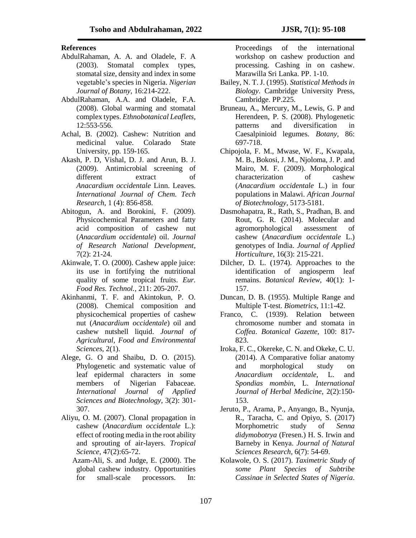### **References**

- AbdulRahaman, A. A. and Oladele, F. A (2003). Stomatal complex types, stomatal size, density and index in some vegetable's species in Nigeria. *Nigerian Journal of Botany,* 16:214-222.
- AbdulRahaman, A.A. and Oladele, F.A. (2008). Global warming and stomatal complex types. *Ethnobotanical Leaflets,* 12:553-556.
- Achal, B. (2002). Cashew: Nutrition and medicinal value. Colarado State University, pp. 159-165.
- Akash, P. D, Vishal, D. J. and Arun, B. J. (2009). [Antimicrobial screening of](http://sphinxsai.com/ctvol4/ct_pdf_vol_4/ct=9%20%28856-858%29.pdf)  [different extract of](http://sphinxsai.com/ctvol4/ct_pdf_vol_4/ct=9%20%28856-858%29.pdf)  *[Anacardium occidentale](http://sphinxsai.com/ctvol4/ct_pdf_vol_4/ct=9%20%28856-858%29.pdf)* Linn. Leaves. *International Journal of Chem. Tech Research,* 1 (4): 856-858.
- Abitogun, A. and Borokini, F. (2009). Physicochemical Parameters and fatty acid composition of cashew nut (*Anacardium occidentale*) oil. *Journal of Research National Development*, 7(2): 21-24.
- Akinwale, T. O. (2000). Cashew apple juice: its use in fortifying the nutritional quality of some tropical fruits. *Eur. Food Res. Technol.*, 211: 205-207.
- Akinhanmi, T. F. and Akintokun, P. O. (2008). Chemical composition and physicochemical properties of cashew nut (*Anacardium occidentale*) oil and cashew nutshell liquid. *Journal of Agricultural, Food and Environmental Sciences,* 2(1).
- Alege, G. O and Shaibu, D. O. (2015). Phylogenetic and systematic value of leaf epidermal characters in some members of Nigerian Fabaceae. *International Journal of Applied Sciences and Biotechnology*, 3(2): 301- 307.
- Aliyu, O. M. (2007). Clonal propagation in cashew (*Anacardium occidentale* L.): effect of rooting media in the root ability and sprouting of air-layers. *Tropical Science*, 47(2):65-72.
	- Azam-Ali, S. and Judge, E. (2000). The global cashew industry. Opportunities for small-scale processors. In:

Proceedings of the international workshop on cashew production and processing. Cashing in on cashew. Marawilla Sri Lanka. PP. 1-10.

- Bailey, N. T. J. (1995). *Statistical Methods in Biology*. Cambridge University Press, Cambridge. PP.225.
- Bruneau, A., Mercury, M., Lewis, G. P and Herendeen, P. S. (2008). Phylogenetic patterns and diversification in Caesalpinioid legumes. *Botany,* 86: 697-718.
- Chipojola, F. M., Mwase, W. F., Kwapala, M. B., Bokosi, J. M., Njoloma, J. P. and Mairo, M. F. (2009). Morphological characterization of cashew (*Anacardium occidentale* L.) in four populations in Malawi. *African Journal of Biotechnology*, 5173-5181.
- Dasmohapatra, R., Rath, S., Pradhan, B. and Rout, G. R. (2014). Molecular and agromorphological assessment of cashew (*Anacardium occidentale* L.) genotypes of India. *Journal of Applied Horticulture*, 16(3): 215-221.
- Dilcher, D. L. (1974). Approaches to the identification of angiosperm leaf remains. *Botanical Review*, 40(1): 1- 157.
- Duncan, D. B. (1955). Multiple Range and Multiple T-test. *Biometrics*, 11:1-42.
- Franco, C. (1939). Relation between chromosome number and stomata in *Coffea*. *Botanical Gazette,* 100: 817- 823.
- Iroka, F. C., Okereke, C. N. and Okeke, C. U. (2014). A Comparative foliar anatomy and morphological study on *Anacardium occidentale*, L. and *Spondias mombin*, L. *International Journal of Herbal Medicine*, 2(2):150- 153.
- Jeruto, P., Arama, P., Anyango, B., Nyunja, R., Taracha, C. and Opiyo, S. (2017) Morphometric study of *Senna didymobotrya* (Fresen.) H. S. Irwin and Barneby in Kenya. *Journal of Natural Sciences Research,* 6(7): 54-69.
- Kolawole, O. S. (2017). *Taximetric Study of some Plant Species of Subtribe Cassinae in Selected States of Nigeria*.